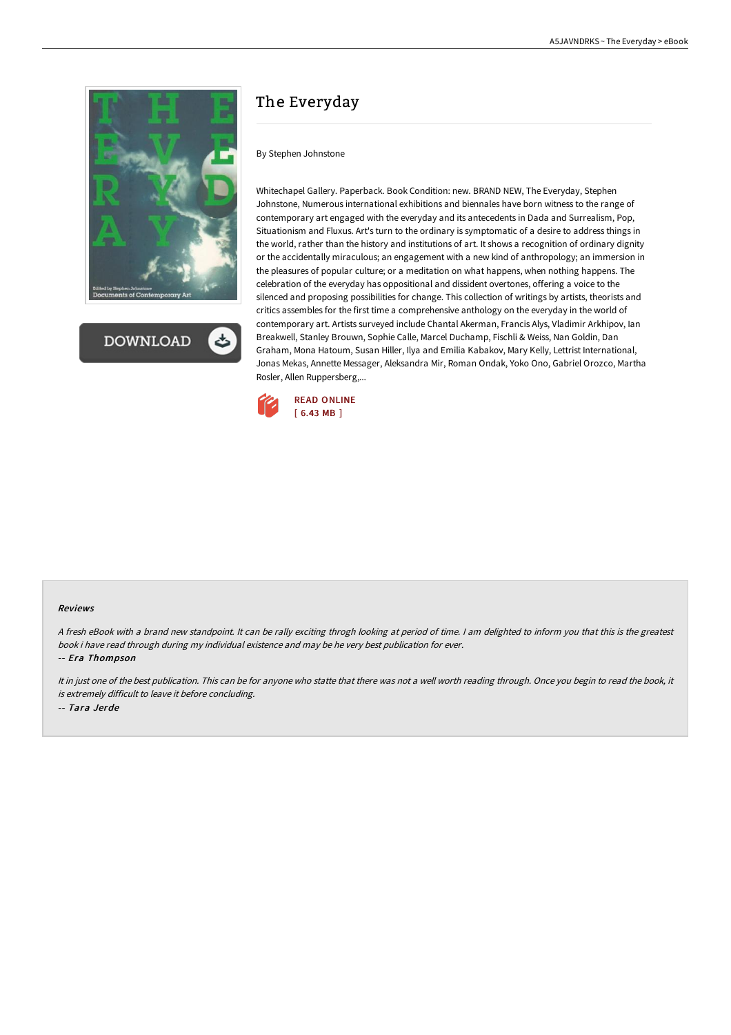

**DOWNLOAD** 

# The Everyday

#### By Stephen Johnstone

Whitechapel Gallery. Paperback. Book Condition: new. BRAND NEW, The Everyday, Stephen Johnstone, Numerous international exhibitions and biennales have born witness to the range of contemporary art engaged with the everyday and its antecedents in Dada and Surrealism, Pop, Situationism and Fluxus. Art's turn to the ordinary is symptomatic of a desire to address things in the world, rather than the history and institutions of art. It shows a recognition of ordinary dignity or the accidentally miraculous; an engagement with a new kind of anthropology; an immersion in the pleasures of popular culture; or a meditation on what happens, when nothing happens. The celebration of the everyday has oppositional and dissident overtones, offering a voice to the silenced and proposing possibilities for change. This collection of writings by artists, theorists and critics assembles for the first time a comprehensive anthology on the everyday in the world of contemporary art. Artists surveyed include Chantal Akerman, Francis Alys, Vladimir Arkhipov, Ian Breakwell, Stanley Brouwn, Sophie Calle, Marcel Duchamp, Fischli & Weiss, Nan Goldin, Dan Graham, Mona Hatoum, Susan Hiller, Ilya and Emilia Kabakov, Mary Kelly, Lettrist International, Jonas Mekas, Annette Messager, Aleksandra Mir, Roman Ondak, Yoko Ono, Gabriel Orozco, Martha Rosler, Allen Ruppersberg,...



#### Reviews

<sup>A</sup> fresh eBook with <sup>a</sup> brand new standpoint. It can be rally exciting throgh looking at period of time. <sup>I</sup> am delighted to inform you that this is the greatest book i have read through during my individual existence and may be he very best publication for ever.

-- Era Thompson

It in just one of the best publication. This can be for anyone who statte that there was not <sup>a</sup> well worth reading through. Once you begin to read the book, it is extremely difficult to leave it before concluding.

-- Tara Jerde